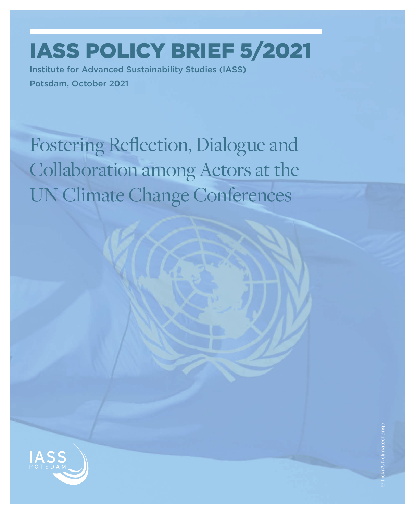# IASS POLICY BRIEF 5/2021

Institute for Advanced Sustainability Studies (IASS) Potsdam, October 2021

Fostering Reflection, Dialogue and Collaboration among Actors at the UN Climate Change Conferences

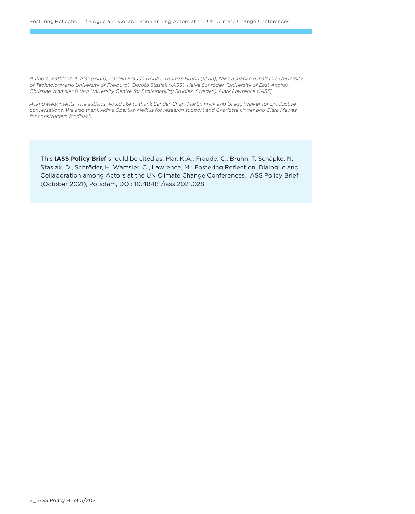*Authors: Kathleen A. Mar (IASS), Carolin Fraude (IASS), Thomas Bruhn (IASS), Niko Schäpke (Chalmers University of Technology and University of Freiburg), Dorota Stasiak (IASS), Heike Schröder (University of East Anglia), Christine Wamsler (Lund University Centre for Sustainability Studies, Sweden), Mark Lawrence (IASS)*

*Acknowledgments. The authors would like to thank Sander Chan, Martin Frick and Gregg Walker for productive conversations. We also thank Adina Spertus-Melhus for research support and Charlotte Unger and Clara Mewes for constructive feedback.* 

This **IASS Policy Brief** should be cited as: Mar, K.A., Fraude, C., Bruhn, T. Schäpke, N. Stasiak, D., Schröder, H. Wamsler, C., Lawrence, M.: Fostering Reflection, Dialogue and Collaboration among Actors at the UN Climate Change Conferences, IASS Policy Brief (October 2021), Potsdam, DOI: 10.48481/iass.2021.028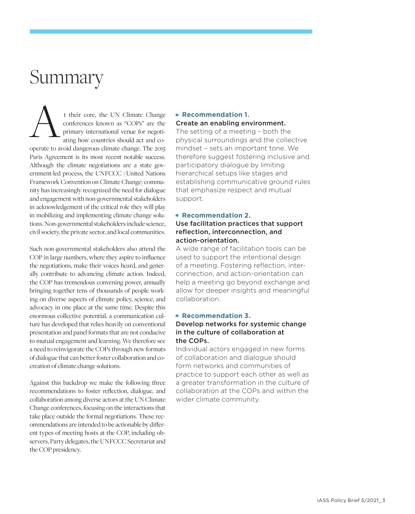## Summary

t their core, the UN Climate Change conferences known as "COPs" are the primary international venue for negotiating how countries should act and cooperate to avoid dangerous climate change. The 2015 Paris Agreement is its most recent notable success. Although the climate negotiations are a state government-led process, the UNFCCC (United Nations Framework Convention on Climate Change) community has increasingly recognized the need for dialogue and engagement with non-governmental stakeholders in acknowledgement of the critical role they will play in mobilizing and implementing climate change solutions. Non-governmental stakeholders include science, civil society, the private sector, and local communities.  $\overline{A}$ 

Such non-governmental stakeholders also attend the COP in large numbers, where they aspire to influence the negotiations, make their voices heard, and generally contribute to advancing climate action. Indeed, the COP has tremendous convening power, annually bringing together tens of thousands of people working on diverse aspects of climate policy, science, and advocacy in one place at the same time. Despite this enormous collective potential, a communication culture has developed that relies heavily on conventional presentation and panel formats that are not conducive to mutual engagement and learning. We therefore see a need to reinvigorate the COPs through new formats of dialogue that can better foster collaboration and cocreation of climate change solutions.

Against this backdrop we make the following three recommendations to foster reflection, dialogue, and collaboration among diverse actors at the UN Climate Change conferences, focusing on the interactions that take place outside the formal negotiations. These recommendations are intended to be actionable by different types of meeting hosts at the COP, including observers, Party delegates, the UNFCCC Secretariat and the COP presidency.

#### **Recommendation 1.**

#### Create an enabling environment.

The setting of a meeting – both the physical surroundings and the collective mindset – sets an important tone. We therefore suggest fostering inclusive and participatory dialogue by limiting hierarchical setups like stages and establishing communicative ground rules that emphasize respect and mutual support.

#### **Recommendation 2.**

#### Use facilitation practices that support reflection, interconnection, and action-orientation.

A wide range of facilitation tools can be used to support the intentional design of a meeting. Fostering reflection, interconnection, and action-orientation can help a meeting go beyond exchange and allow for deeper insights and meaningful collaboration.

### **Recommendation 3.**

#### Develop networks for systemic change in the culture of collaboration at the COPs.

Individual actors engaged in new forms of collaboration and dialogue should form networks and communities of practice to support each other as well as a greater transformation in the culture of collaboration at the COPs and within the wider climate community.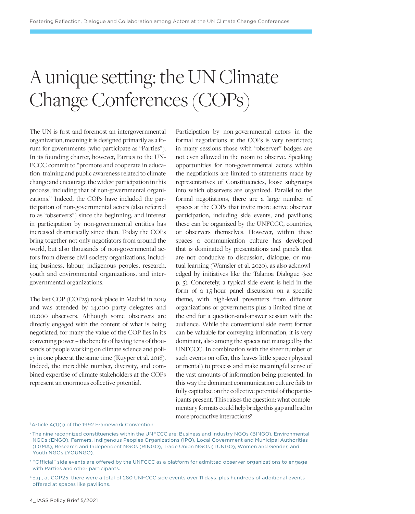# A unique setting: the UN Climate Change Conferences (COPs)

The UN is first and foremost an intergovernmental organization, meaning it is designed primarily as a forum for governments (who participate as "Parties"). In its founding charter, however, Parties to the UN-FCCC commit to "promote and cooperate in education, training and public awareness related to climate change and encourage the widest participation in this process, including that of non-governmental organizations." Indeed, the COPs have included the participation of non-governmental actors (also referred to as "observers") since the beginning, and interest in participation by non-governmental entities has increased dramatically since then. Today the COPs bring together not only negotiators from around the world, but also thousands of non-governmental actors from diverse civil society organizations, including business, labour, indigenous peoples, research, youth and environmental organizations, and intergovernmental organizations.

The last COP (COP25) took place in Madrid in 2019 and was attended by 14,000 party delegates and 10,000 observers. Although some observers are directly engaged with the content of what is being negotiated, for many the value of the COP lies in its convening power – the benefit of having tens of thousands of people working on climate science and policy in one place at the same time (Kuyper et al. 2018). Indeed, the incredible number, diversity, and combined expertise of climate stakeholders at the COPs represent an enormous collective potential.

Participation by non-governmental actors in the formal negotiations at the COPs is very restricted; in many sessions those with "observer" badges are not even allowed in the room to observe. Speaking opportunities for non-governmental actors within the negotiations are limited to statements made by representatives of Constituencies, loose subgroups into which observers are organized. Parallel to the formal negotiations, there are a large number of spaces at the COPs that invite more active observer participation, including side events, and pavilions; these can be organized by the UNFCCC, countries, or observers themselves. However, within these spaces a communication culture has developed that is dominated by presentations and panels that are not conducive to discussion, dialogue, or mutual learning (Wamsler et al. 2020), as also acknowledged by initiatives like the Talanoa Dialogue (see p. 5). Concretely, a typical side event is held in the form of a 1.5-hour panel discussion on a specific theme, with high-level presenters from different organizations or governments plus a limited time at the end for a question-and-answer session with the audience. While the conventional side event format can be valuable for conveying information, it is very dominant, also among the spaces not managed by the UNFCCC. In combination with the sheer number of such events on offer, this leaves little space (physical or mental) to process and make meaningful sense of the vast amounts of information being presented. In this way the dominant communication culture fails to fully capitalize on the collective potential of the participants present. This raises the question: what complementary formats could help bridge this gap and lead to more productive interactions?

<sup>1</sup> Article 4(1)(i) of the 1992 Framework Convention

2 The nine recognized constituencies within the UNFCCC are: Business and Industry NGOs (BINGO), Environmental NGOs (ENGO), Farmers, Indigenous Peoples Organizations (IPO), Local Government and Municipal Authorities (LGMA), Research and Independent NGOs (RINGO), Trade Union NGOs (TUNGO), Women and Gender, and Youth NGOs (YOUNGO).

3 "Official" side events are offered by the UNFCCC as a platform for admitted observer organizations to engage with Parties and other participants.

<sup>4</sup>E.g., at COP25, there were a total of 280 UNFCCC side events over 11 days, plus hundreds of additional events offered at spaces like pavilions.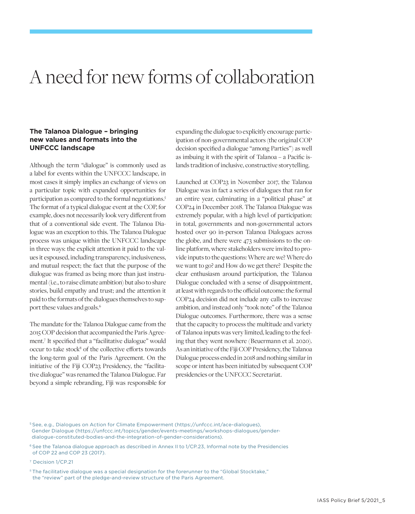## A need for new forms of collaboration

#### **The Talanoa Dialogue – bringing new values and formats into the UNFCCC landscape**

Although the term "dialogue" is commonly used as a label for events within the UNFCCC landscape, in most cases it simply implies an exchange of views on a particular topic with expanded opportunities for participation as compared to the formal negotiations.<sup>5</sup> The format of a typical dialogue event at the COP, for example, does not necessarily look very different from that of a conventional side event. The Talanoa Dialogue was an exception to this. The Talanoa Dialogue process was unique within the UNFCCC landscape in three ways: the explicit attention it paid to the values it espoused, including transparency, inclusiveness, and mutual respect; the fact that the purpose of the dialogue was framed as being more than just instrumental (i.e., to raise climate ambition) but also to share stories, build empathy and trust; and the attention it paid to the formats of the dialogues themselves to support these values and goals.<sup>6</sup>

The mandate for the Talanoa Dialogue came from the 2015 COP decision that accompanied the Paris Agreement.7 It specified that a "facilitative dialogue" would occur to take stock<sup>8</sup> of the collective efforts towards the long-term goal of the Paris Agreement. On the initiative of the Fiji COP23 Presidency, the "facilitative dialogue" was renamed the Talanoa Dialogue. Far beyond a simple rebranding, Fiji was responsible for

expanding the dialogue to explicitly encourage participation of non-governmental actors (the original COP decision specified a dialogue "among Parties") as well as imbuing it with the spirit of Talanoa – a Pacific islands tradition of inclusive, constructive storytelling.

Launched at COP23 in November 2017, the Talanoa Dialogue was in fact a series of dialogues that ran for an entire year, culminating in a "political phase" at COP24 in December 2018. The Talanoa Dialogue was extremely popular, with a high level of participation: in total, governments and non-governmental actors hosted over 90 in-person Talanoa Dialogues across the globe, and there were 473 submissions to the online platform, where stakeholders were invited to provide inputs to the questions: Where are we? Where do we want to go? and How do we get there? Despite the clear enthusiasm around participation, the Talanoa Dialogue concluded with a sense of disappointment, at least with regards to the official outcome: the formal COP24 decision did not include any calls to increase ambition, and instead only "took note" of the Talanoa Dialogue outcomes. Furthermore, there was a sense that the capacity to process the multitude and variety of Talanoa inputs was very limited, leading to the feeling that they went nowhere (Beuermann et al. 2020). As an initiative of the Fiji COP Presidency, the Talanoa Dialogue process ended in 2018 and nothing similar in scope or intent has been initiated by subsequent COP presidencies or the UNFCCC Secretariat.

<sup>5</sup> See, e.g., Dialogues on Action for Climate Empowerment (https://unfccc.int/ace-dialogues), Gender Dialogue (https://unfccc.int/topics/gender/events-meetings/workshops-dialogues/gender dialogue-constituted-bodies-and-the-integration-of-gender-considerations).

<sup>&</sup>lt;sup>6</sup> See the Talanoa dialogue approach as described in Annex II to 1/CP.23, Informal note by the Presidencies of COP 22 and COP 23 (2017).

<sup>7</sup> Decision 1/CP.21

<sup>&</sup>lt;sup>8</sup>The facilitative dialogue was a special designation for the forerunner to the "Global Stocktake" the "review" part of the pledge-and-review structure of the Paris Agreement.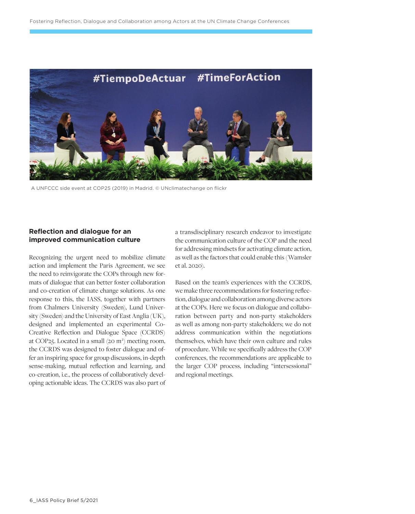

A UNFCCC side event at COP25 (2019) in Madrid. © UNclimatechange on flickr

#### **Reflection and dialogue for an improved communication culture**

Recognizing the urgent need to mobilize climate action and implement the Paris Agreement, we see the need to reinvigorate the COPs through new formats of dialogue that can better foster collaboration and co-creation of climate change solutions. As one response to this, the IASS, together with partners from Chalmers University (Sweden), Lund University (Sweden) and the University of East Anglia (UK), designed and implemented an experimental Co-Creative Reflection and Dialogue Space (CCRDS) at COP25. Located in a small (20 m<sup>2</sup>) meeting room, the CCRDS was designed to foster dialogue and offer an inspiring space for group discussions, in-depth sense-making, mutual reflection and learning, and co-creation, i.e., the process of collaboratively developing actionable ideas. The CCRDS was also part of a transdisciplinary research endeavor to investigate the communication culture of the COP and the need for addressing mindsets for activating climate action, as well as the factors that could enable this (Wamsler et al. 2020).

Based on the team's experiences with the CCRDS, we make three recommendations for fostering reflection, dialogue and collaboration among diverse actors at the COPs. Here we focus on dialogue and collaboration between party and non-party stakeholders as well as among non-party stakeholders; we do not address communication within the negotiations themselves, which have their own culture and rules of procedure. While we specifically address the COP conferences, the recommendations are applicable to the larger COP process, including "intersessional" and regional meetings.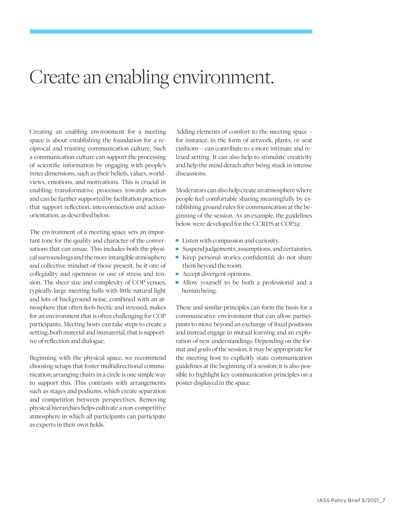## Create an enabling environment.

Creating an enabling environment for a meeting space is about establishing the foundation for a reciprocal and trusting communication culture. Such a communication culture can support the processing of scientific information by engaging with people's inner dimensions, such as their beliefs, values, worldviews, emotions, and motivations. This is crucial in enabling transformative processes towards action and can be further supported by facilitation practices that support reflection, interconnection and actionorientation, as described below.

The environment of a meeting space sets an important tone for the quality and character of the conversations that can ensue. This includes both the physical surroundings and the more intangible atmosphere and collective mindset of those present, be it one of collegiality and openness or one of stress and tension. The sheer size and complexity of COP venues, typically large meeting halls with little natural light and lots of background noise, combined with an atmosphere that often feels hectic and stressed, makes for an environment that is often challenging for COP participants. Meeting hosts can take steps to create a setting, both material and immaterial, that is supportive of reflection and dialogue.

Beginning with the physical space, we recommend choosing setups that foster multidirectional communication; arranging chairs in a circle is one simple way to support this. This contrasts with arrangements such as stages and podiums, which create separation and competition between perspectives. Removing physical hierarchies helps cultivate a non-competitive atmosphere in which all participants can participate as experts in their own fields.

Adding elements of comfort to the meeting space – for instance, in the form of artwork, plants, or seat cushions – can contribute to a more intimate and relaxed setting. It can also help to stimulate creativity and help the mind detach after being stuck in intense discussions.

Moderators can also help create an atmosphere where people feel comfortable sharing meaningfully by establishing ground rules for communication at the beginning of the session. As an example, the guidelines below were developed for the CCRDS at COP25:

- Listen with compassion and curiosity.
- Suspend judgements, assumptions, and certainties.
- Keep personal stories confidential; do not share them beyond the room.
- Accept divergent opinions.
- Allow yourself to be both a professional and a human being.

These and similar principles can form the basis for a communicative environment that can allow participants to move beyond an exchange of fixed positions and instead engage in mutual learning and an exploration of new understandings. Depending on the format and goals of the session, it may be appropriate for the meeting host to explicitly state communication guidelines at the beginning of a session; it is also possible to highlight key communication principles on a poster displayed in the space.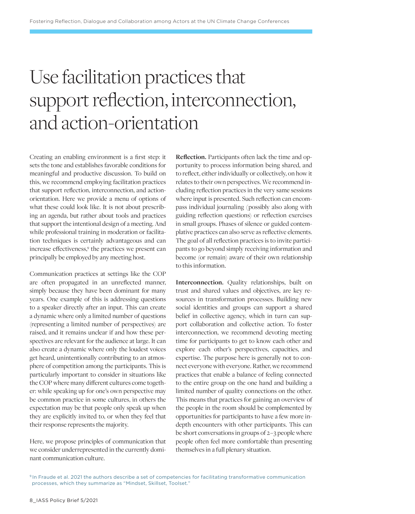# Use facilitation practices that support reflection, interconnection, and action-orientation

Creating an enabling environment is a first step: it sets the tone and establishes favorable conditions for meaningful and productive discussion. To build on this, we recommend employing facilitation practices that support reflection, interconnection, and actionorientation. Here we provide a menu of options of what these could look like. It is not about prescribing an agenda, but rather about tools and practices that support the intentional design of a meeting. And while professional training in moderation or facilitation techniques is certainly advantageous and can increase effectiveness,<sup>9</sup> the practices we present can principally be employed by any meeting host.

Communication practices at settings like the COP are often propagated in an unreflected manner, simply because they have been dominant for many years. One example of this is addressing questions to a speaker directly after an input. This can create a dynamic where only a limited number of questions (representing a limited number of perspectives) are raised, and it remains unclear if and how these perspectives are relevant for the audience at large. It can also create a dynamic where only the loudest voices get heard, unintentionally contributing to an atmosphere of competition among the participants. This is particularly important to consider in situations like the COP where many different cultures come together: while speaking up for one's own perspective may be common practice in some cultures, in others the expectation may be that people only speak up when they are explicitly invited to, or when they feel that their response represents the majority.

Here, we propose principles of communication that we consider underrepresented in the currently dominant communication culture.

**Reflection.** Participants often lack the time and opportunity to process information being shared, and to reflect, either individually or collectively, on how it relates to their own perspectives. We recommend including reflection practices in the very same sessions where input is presented. Such reflection can encompass individual journaling (possibly also along with guiding reflection questions) or reflection exercises in small groups. Phases of silence or guided contemplative practices can also serve as reflective elements. The goal of all reflection practices is to invite participants to go beyond simply receiving information and become (or remain) aware of their own relationship to this information.

**Interconnection.** Quality relationships, built on trust and shared values and objectives, are key resources in transformation processes. Building new social identities and groups can support a shared belief in collective agency, which in turn can support collaboration and collective action. To foster interconnection, we recommend devoting meeting time for participants to get to know each other and explore each other's perspectives, capacities, and expertise. The purpose here is generally not to connect everyone with everyone. Rather, we recommend practices that enable a balance of feeling connected to the entire group on the one hand and building a limited number of quality connections on the other. This means that practices for gaining an overview of the people in the room should be complemented by opportunities for participants to have a few more indepth encounters with other participants. This can be short conversations in groups of 2 – 3 people where people often feel more comfortable than presenting themselves in a full plenary situation.

<sup>9</sup> In Fraude et al. 2021 the authors describe a set of competencies for facilitating transformative communication processes, which they summarize as "Mindset, Skillset, Toolset."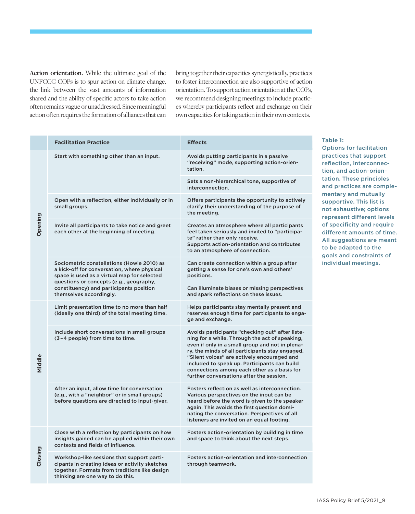**Action orientation.** While the ultimate goal of the UNFCCC COPs is to spur action on climate change, the link between the vast amounts of information shared and the ability of specific actors to take action often remains vague or unaddressed. Since meaningful action often requires the formation of alliances that can

bring together their capacities synergistically, practices to foster interconnection are also supportive of action orientation. To support action orientation at the COPs, we recommend designing meetings to include practices whereby participants reflect and exchange on their own capacities for taking action in their own contexts.

|         | <b>Facilitation Practice</b>                                                                                                                                                        | <b>Effects</b>                                                                                                                                                                                                                                                                                                                                                                                    |
|---------|-------------------------------------------------------------------------------------------------------------------------------------------------------------------------------------|---------------------------------------------------------------------------------------------------------------------------------------------------------------------------------------------------------------------------------------------------------------------------------------------------------------------------------------------------------------------------------------------------|
| Opening | Start with something other than an input.                                                                                                                                           | Avoids putting participants in a passive<br>"receiving" mode, supporting action-orien-<br>tation.                                                                                                                                                                                                                                                                                                 |
|         |                                                                                                                                                                                     | Sets a non-hierarchical tone, supportive of<br>interconnection.                                                                                                                                                                                                                                                                                                                                   |
|         | Open with a reflection, either individually or in<br>small groups.                                                                                                                  | Offers participants the opportunity to actively<br>clarify their understanding of the purpose of<br>the meeting.                                                                                                                                                                                                                                                                                  |
|         | Invite all participants to take notice and greet<br>each other at the beginning of meeting.                                                                                         | Creates an atmosphere where all participants<br>feel taken seriously and invited to "participa-<br>te" rather than only receive.<br>Supports action-orientation and contributes<br>to an atmosphere of connection.                                                                                                                                                                                |
|         | Sociometric constellations (Howie 2010) as<br>a kick-off for conversation, where physical<br>space is used as a virtual map for selected<br>questions or concepts (e.g., geography, | Can create connection within a group after<br>getting a sense for one's own and others'<br>positions.                                                                                                                                                                                                                                                                                             |
|         | constituency) and participants position<br>themselves accordingly.                                                                                                                  | Can illuminate biases or missing perspectives<br>and spark reflections on these issues.                                                                                                                                                                                                                                                                                                           |
| Middle  | Limit presentation time to no more than half<br>(ideally one third) of the total meeting time.                                                                                      | Helps participants stay mentally present and<br>reserves enough time for participants to enga-<br>ge and exchange.                                                                                                                                                                                                                                                                                |
|         | Include short conversations in small groups<br>(3-4 people) from time to time.                                                                                                      | Avoids participants "checking out" after liste-<br>ning for a while. Through the act of speaking,<br>even if only in a small group and not in plena-<br>ry, the minds of all participants stay engaged.<br>"Silent voices" are actively encouraged and<br>included to speak up. Participants can build<br>connections among each other as a basis for<br>further conversations after the session. |
|         | After an input, allow time for conversation<br>(e.g., with a "neighbor" or in small groups)<br>before questions are directed to input-giver.                                        | Fosters reflection as well as interconnection.<br>Various perspectives on the input can be<br>heard before the word is given to the speaker<br>again. This avoids the first question domi-<br>nating the conversation. Perspectives of all<br>listeners are invited on an equal footing.                                                                                                          |
| Closing | Close with a reflection by participants on how<br>insights gained can be applied within their own<br>contexts and fields of influence.                                              | Fosters action-orientation by building in time<br>and space to think about the next steps.                                                                                                                                                                                                                                                                                                        |
|         | Workshop-like sessions that support parti-<br>cipants in creating ideas or activity sketches<br>together. Formats from traditions like design<br>thinking are one way to do this.   | Fosters action-orientation and interconnection<br>through teamwork.                                                                                                                                                                                                                                                                                                                               |

#### **Table 1:**

Options for facilitation practices that support reflection, interconnection, and action-orientation. These principles and practices are complementary and mutually supportive. This list is not exhaustive; options represent different levels of specificity and require different amounts of time. All suggestions are meant to be adapted to the goals and constraints of individual meetings.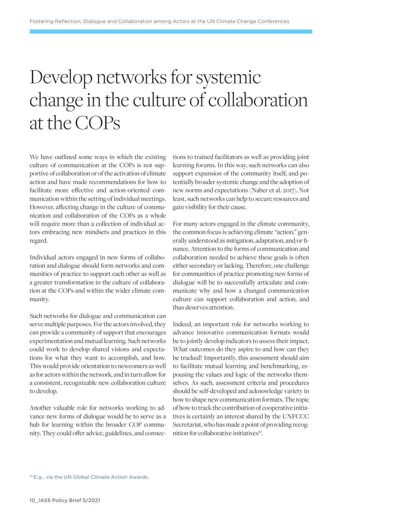# Develop networks for systemic change in the culture of collaboration at the COPs

We have outlined some ways in which the existing culture of communication at the COPs is not supportive of collaboration or of the activation of climate action and have made recommendations for how to facilitate more effective and action-oriented communication within the setting of individual meetings. However, affecting change in the culture of communication and collaboration of the COPs as a whole will require more than a collection of individual actors embracing new mindsets and practices in this regard.

Individual actors engaged in new forms of collaboration and dialogue should form networks and communities of practice to support each other as well as a greater transformation in the culture of collaboration at the COPs and within the wider climate community.

Such networks for dialogue and communication can serve multiple purposes. For the actors involved, they can provide a community of support that encourages experimentation and mutual learning. Such networks could work to develop shared visions and expectations for what they want to accomplish, and how. This would provide orientation to newcomers as well as for actors within the network, and in turn allow for a consistent, recognizable new collaboration culture to develop.

Another valuable role for networks working to advance new forms of dialogue would be to serve as a hub for learning within the broader COP community. They could offer advice, guidelines, and connections to trained facilitators as well as providing joint learning forums. In this way, such networks can also support expansion of the community itself, and potentially broader systemic change and the adoption of new norms and expectations (Naber et al. 2017). Not least, such networks can help to secure resources and gain visibility for their cause.

For many actors engaged in the climate community, the common focus is achieving climate "action," generally understood as mitigation, adaptation, and/or finance. Attention to the forms of communication and collaboration needed to achieve these goals is often either secondary or lacking. Therefore, one challenge for communities of practice promoting new forms of dialogue will be to successfully articulate and communicate why and how a changed communication culture can support collaboration and action, and thus deserves attention.

Indeed, an important role for networks working to advance innovative communication formats would be to jointly develop indicators to assess their impact. What outcomes do they aspire to and how can they be tracked? Importantly, this assessment should aim to facilitate mutual learning and benchmarking, espousing the values and logic of the networks themselves. As such, assessment criteria and procedures should be self-developed and acknowledge variety in how to shape new communication formats. The topic of how to track the contribution of cooperative initiatives is certainly an interest shared by the UNFCCC Secretariat, who has made a point of providing recognition for collaborative initiatives<sup>10</sup>.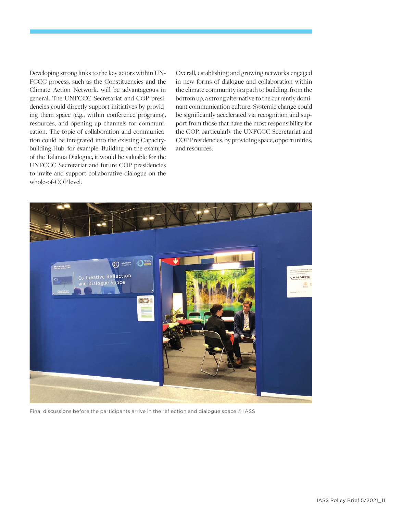Developing strong links to the key actors within UN-FCCC process, such as the Constituencies and the Climate Action Network, will be advantageous in general. The UNFCCC Secretariat and COP presidencies could directly support initiatives by providing them space (e.g., within conference programs), resources, and opening up channels for communication. The topic of collaboration and communication could be integrated into the existing Capacitybuilding Hub, for example. Building on the example of the Talanoa Dialogue, it would be valuable for the UNFCCC Secretariat and future COP presidencies to invite and support collaborative dialogue on the whole-of-COP level.

Overall, establishing and growing networks engaged in new forms of dialogue and collaboration within the climate community is a path to building, from the bottom up, a strong alternative to the currently dominant communication culture. Systemic change could be significantly accelerated via recognition and support from those that have the most responsibility for the COP, particularly the UNFCCC Secretariat and COP Presidencies, by providing space, opportunities, and resources.



Final discussions before the participants arrive in the reflection and dialogue space © IASS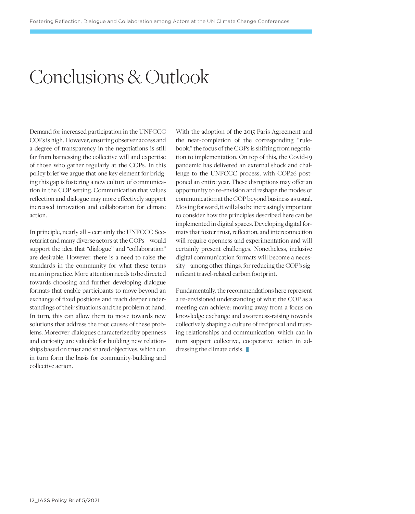## Conclusions & Outlook

Demand for increased participation in the UNFCCC COPs is high. However, ensuring observer access and a degree of transparency in the negotiations is still far from harnessing the collective will and expertise of those who gather regularly at the COPs. In this policy brief we argue that one key element for bridging this gap is fostering a new culture of communication in the COP setting. Communication that values reflection and dialogue may more effectively support increased innovation and collaboration for climate action.

In principle, nearly all – certainly the UNFCCC Secretariat and many diverse actors at the COPs – would support the idea that "dialogue" and "collaboration" are desirable. However, there is a need to raise the standards in the community for what these terms mean in practice. More attention needs to be directed towards choosing and further developing dialogue formats that enable participants to move beyond an exchange of fixed positions and reach deeper understandings of their situations and the problem at hand. In turn, this can allow them to move towards new solutions that address the root causes of these problems. Moreover, dialogues characterized by openness and curiosity are valuable for building new relationships based on trust and shared objectives, which can in turn form the basis for community-building and collective action.

With the adoption of the 2015 Paris Agreement and the near-completion of the corresponding "rulebook," the focus of the COPs is shifting from negotiation to implementation. On top of this, the Covid-19 pandemic has delivered an external shock and challenge to the UNFCCC process, with COP26 postponed an entire year. These disruptions may offer an opportunity to re-envision and reshape the modes of communication at the COP beyond business as usual. Moving forward, it will also be increasingly important to consider how the principles described here can be implemented in digital spaces. Developing digital formats that foster trust, reflection, and interconnection will require openness and experimentation and will certainly present challenges. Nonetheless, inclusive digital communication formats will become a necessity – among other things, for reducing the COP's significant travel-related carbon footprint.

Fundamentally, the recommendations here represent a re-envisioned understanding of what the COP as a meeting can achieve: moving away from a focus on knowledge exchange and awareness-raising towards collectively shaping a culture of reciprocal and trusting relationships and communication, which can in turn support collective, cooperative action in addressing the climate crisis.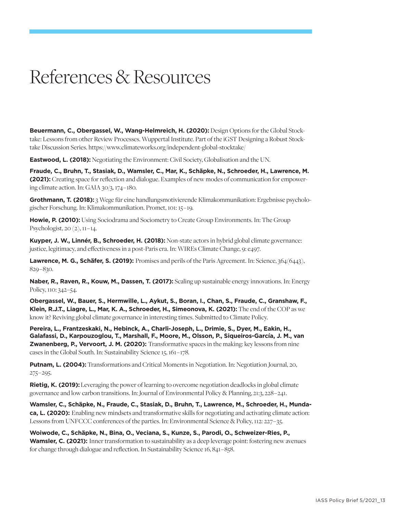## References & Resources

**Beuermann, C., Obergassel, W., Wang-Helmreich, H. (2020):** Design Options for the Global Stocktake: Lessons from other Review Processes. Wuppertal Institute. Part of the iGST Designing a Robust Stocktake Discussion Series. https://www.climateworks.org/independent-global-stocktake/

**Eastwood, L. (2018):** Negotiating the Environment: Civil Society, Globalisation and the UN.

**Fraude, C., Bruhn, T., Stasiak, D., Wamsler, C., Mar, K., Schäpke, N., Schroeder, H., Lawrence, M. (2021):** Creating space for reflection and dialogue. Examples of new modes of communication for empowering climate action. In: GAIA 30/3, 174 – 180.

**Grothmann, T. (2018):** 3 Wege für eine handlungsmotivierende Klimakommunikation: Ergebnisse psychologischer Forschung. In: Klimakommunikation. Promet, 101: 15 – 19.

**Howie, P. (2010):** Using Sociodrama and Sociometry to Create Group Environments. In: The Group Psychologist, 20 (2), 11 – 14.

**Kuyper, J. W., Linnér, B., Schroeder, H. (2018):** Non-state actors in hybrid global climate governance: justice, legitimacy, and effectiveness in a post-Paris era. In: WIREs Climate Change, 9: e497.

Lawrence, M. G., Schäfer, S. (2019): Promises and perils of the Paris Agreement. In: Science, 364(6443), 829 – 830.

**Naber, R., Raven, R., Kouw, M., Dassen, T. (2017):** Scaling up sustainable energy innovations. In: Energy Policy, 110: 342 –54.

**Obergassel, W., Bauer, S., Hermwille, L., Aykut, S., Boran, I., Chan, S., Fraude, C., Granshaw, F., Klein, R.J.T., Liagre, L., Mar, K. A., Schroeder, H., Simeonova, K. (2021):** The end of the COP as we know it? Reviving global climate governance in interesting times. Submitted to Climate Policy.

**Pereira, L., Frantzeskaki, N., Hebinck, A., Charli-Joseph, L., Drimie, S., Dyer, M., Eakin, H., Galafassi, D., Karpouzoglou, T., Marshall, F., Moore, M., Olsson, P., Siqueiros-García, J. M., van Zwanenberg, P., Vervoort, J. M. (2020):** Transformative spaces in the making: key lessons from nine cases in the Global South. In: Sustainability Science 15, 161 – 178.

**Putnam, L. (2004):** Transformations and Critical Moments in Negotiation. In: Negotiation Journal, 20, 275 – 295.

**Rietig, K. (2019):** Leveraging the power of learning to overcome negotiation deadlocks in global climate governance and low carbon transitions. In: Journal of Environmental Policy & Planning, 21:3, 228 – 241.

**Wamsler, C., Schäpke, N., Fraude, C., Stasiak, D., Bruhn, T., Lawrence, M., Schroeder, H., Mundaca, L. (2020):** Enabling new mindsets and transformative skills for negotiating and activating climate action: Lessons from UNFCCC conferences of the parties. In: Environmental Science & Policy, 112: 227 – 35.

**Woiwode, C., Schäpke, N., Bina, O., Veciana, S., Kunze, S., Parodi, O., Schweizer-Ries, P., Wamsler, C. (2021):** Inner transformation to sustainability as a deep leverage point: fostering new avenues for change through dialogue and reflection. In Sustainability Science 16, 841 – 858.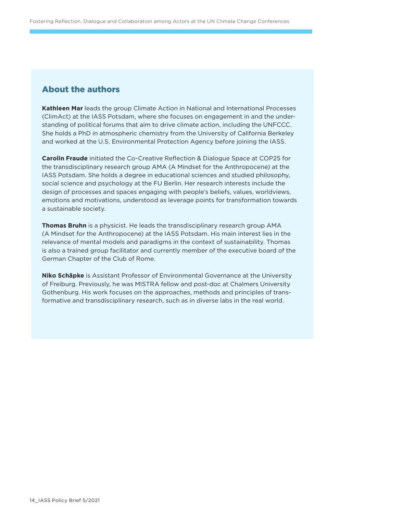### About the authors

**Kathleen Mar** leads the group Climate Action in National and International Processes (ClimAct) at the IASS Potsdam, where she focuses on engagement in and the understanding of political forums that aim to drive climate action, including the UNFCCC. She holds a PhD in atmospheric chemistry from the University of California Berkeley and worked at the U.S. Environmental Protection Agency before joining the IASS.

**Carolin Fraude** initiated the Co-Creative Reflection & Dialogue Space at COP25 for the transdisciplinary research group AMA (A Mindset for the Anthropocene) at the IASS Potsdam. She holds a degree in educational sciences and studied philosophy, social science and psychology at the FU Berlin. Her research interests include the design of processes and spaces engaging with people's beliefs, values, worldviews, emotions and motivations, understood as leverage points for transformation towards a sustainable society.

**Thomas Bruhn** is a physicist. He leads the transdisciplinary research group AMA (A Mindset for the Anthropocene) at the IASS Potsdam. His main interest lies in the relevance of mental models and paradigms in the context of sustainability. Thomas is also a trained group facilitator and currently member of the executive board of the German Chapter of the Club of Rome.

**Niko Schäpke** is Assistant Professor of Environmental Governance at the University of Freiburg. Previously, he was MISTRA fellow and post-doc at Chalmers University Gothenburg. His work focuses on the approaches, methods and principles of transformative and transdisciplinary research, such as in diverse labs in the real world.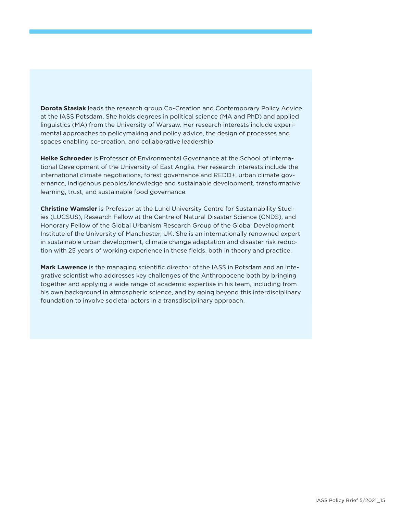**Dorota Stasiak** leads the research group Co-Creation and Contemporary Policy Advice at the IASS Potsdam. She holds degrees in political science (MA and PhD) and applied linguistics (MA) from the University of Warsaw. Her research interests include experimental approaches to policymaking and policy advice, the design of processes and spaces enabling co-creation, and collaborative leadership.

**Heike Schroeder** is Professor of Environmental Governance at the School of International Development of the University of East Anglia. Her research interests include the international climate negotiations, forest governance and REDD+, urban climate governance, indigenous peoples/knowledge and sustainable development, transformative learning, trust, and sustainable food governance.

**Christine Wamsler** is Professor at the Lund University Centre for Sustainability Studies (LUCSUS), Research Fellow at the Centre of Natural Disaster Science (CNDS), and Honorary Fellow of the Global Urbanism Research Group of the Global Development Institute of the University of Manchester, UK. She is an internationally renowned expert in sustainable urban development, climate change adaptation and disaster risk reduction with 25 years of working experience in these fields, both in theory and practice.

**Mark Lawrence** is the managing scientific director of the IASS in Potsdam and an integrative scientist who addresses key challenges of the Anthropocene both by bringing together and applying a wide range of academic expertise in his team, including from his own background in atmospheric science, and by going beyond this interdisciplinary foundation to involve societal actors in a transdisciplinary approach.